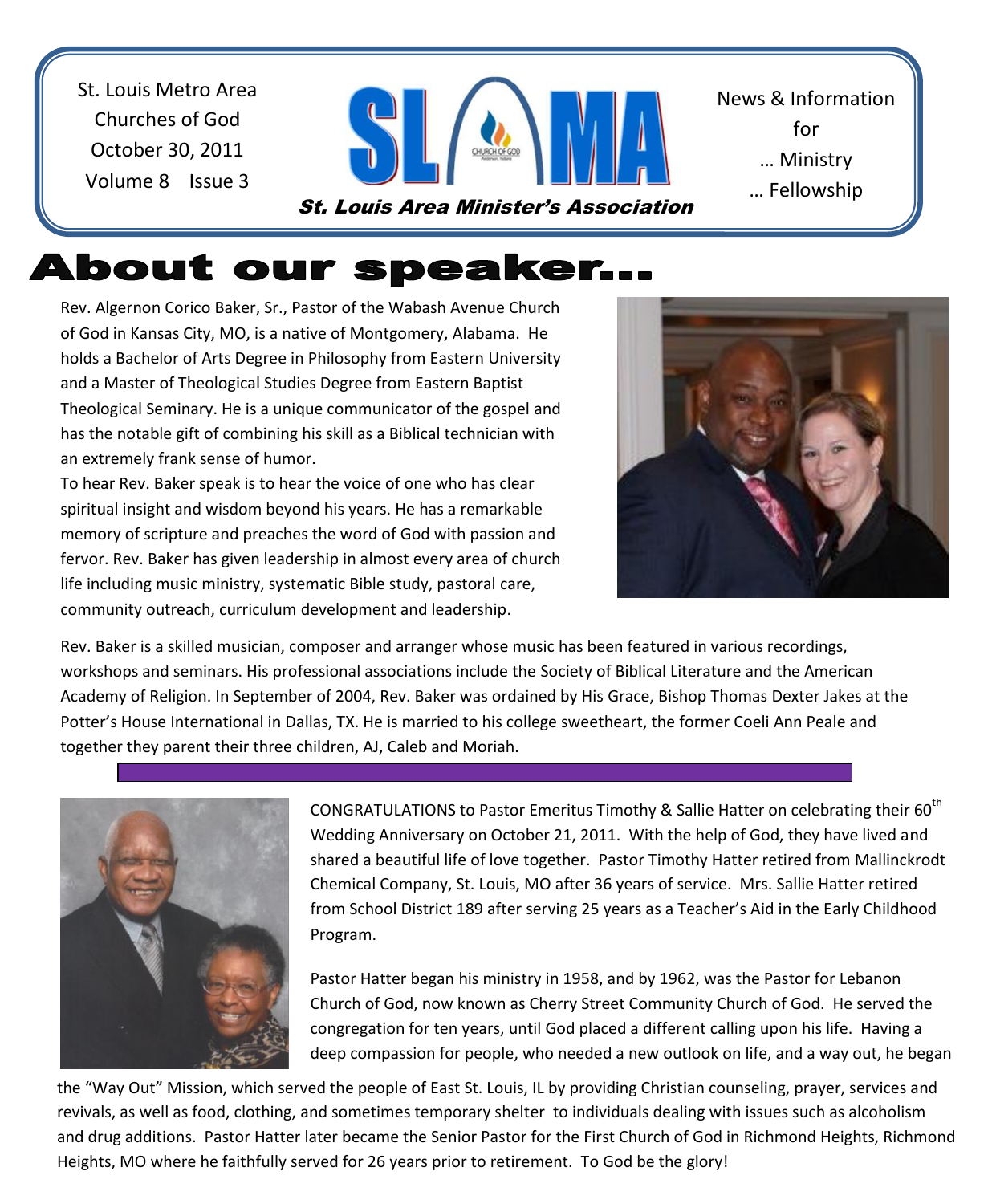St. Louis Metro Area Churches of God October 30, 2011 Volume 8 Issue 3



News & Information for … Ministry … Fellowship

<u>… Sharing Shari</u>

# About our speaker...

Rev. Algernon Corico Baker, Sr., Pastor of the Wabash Avenue Church of God in Kansas City, MO, is a native of Montgomery, Alabama. He holds a Bachelor of Arts Degree in Philosophy from Eastern University and a Master of Theological Studies Degree from Eastern Baptist Theological Seminary. He is a unique communicator of the gospel and has the notable gift of combining his skill as a Biblical technician with an extremely frank sense of humor.

To hear Rev. Baker speak is to hear the voice of one who has clear spiritual insight and wisdom beyond his years. He has a remarkable memory of scripture and preaches the word of God with passion and fervor. Rev. Baker has given leadership in almost every area of church life including music ministry, systematic Bible study, pastoral care, community outreach, curriculum development and leadership.



 Academy of Religion. In September of 2004, Rev. Baker was ordained by His Grace, Bishop Thomas Dexter Jakes at the Rev. Baker is a skilled musician, composer and arranger whose music has been featured in various recordings, workshops and seminars. His professional associations include the Society of Biblical Literature and the American Potter's House International in Dallas, TX. He is married to his college sweetheart, the former Coeli Ann Peale and together they parent their three children, AJ, Caleb and Moriah.



 shared a beautiful life of love together. Pastor Timothy Hatter retired from Mallinckrodt from School District 189 after serving 25 years as a Teacher's Aid in the Early Childhood CONGRATULATIONS to Pastor Emeritus Timothy & Sallie Hatter on celebrating their 60<sup>th</sup> Wedding Anniversary on October 21, 2011. With the help of God, they have lived and Chemical Company, St. Louis, MO after 36 years of service. Mrs. Sallie Hatter retired Program.

Pastor Hatter began his ministry in 1958, and by 1962, was the Pastor for Lebanon Church of God, now known as Cherry Street Community Church of God. He served the congregation for ten years, until God placed a different calling upon his life. Having a deep compassion for people, who needed a new outlook on life, and a way out, he began

the "Way Out" Mission, which served the people of East St. Louis, IL by providing Christian counseling, prayer, services and revivals, as well as food, clothing, and sometimes temporary shelter to individuals dealing with issues such as alcoholism and drug additions. Pastor Hatter later became the Senior Pastor for the First Church of God in Richmond Heights, Richmond Heights, MO where he faithfully served for 26 years prior to retirement. To God be the glory!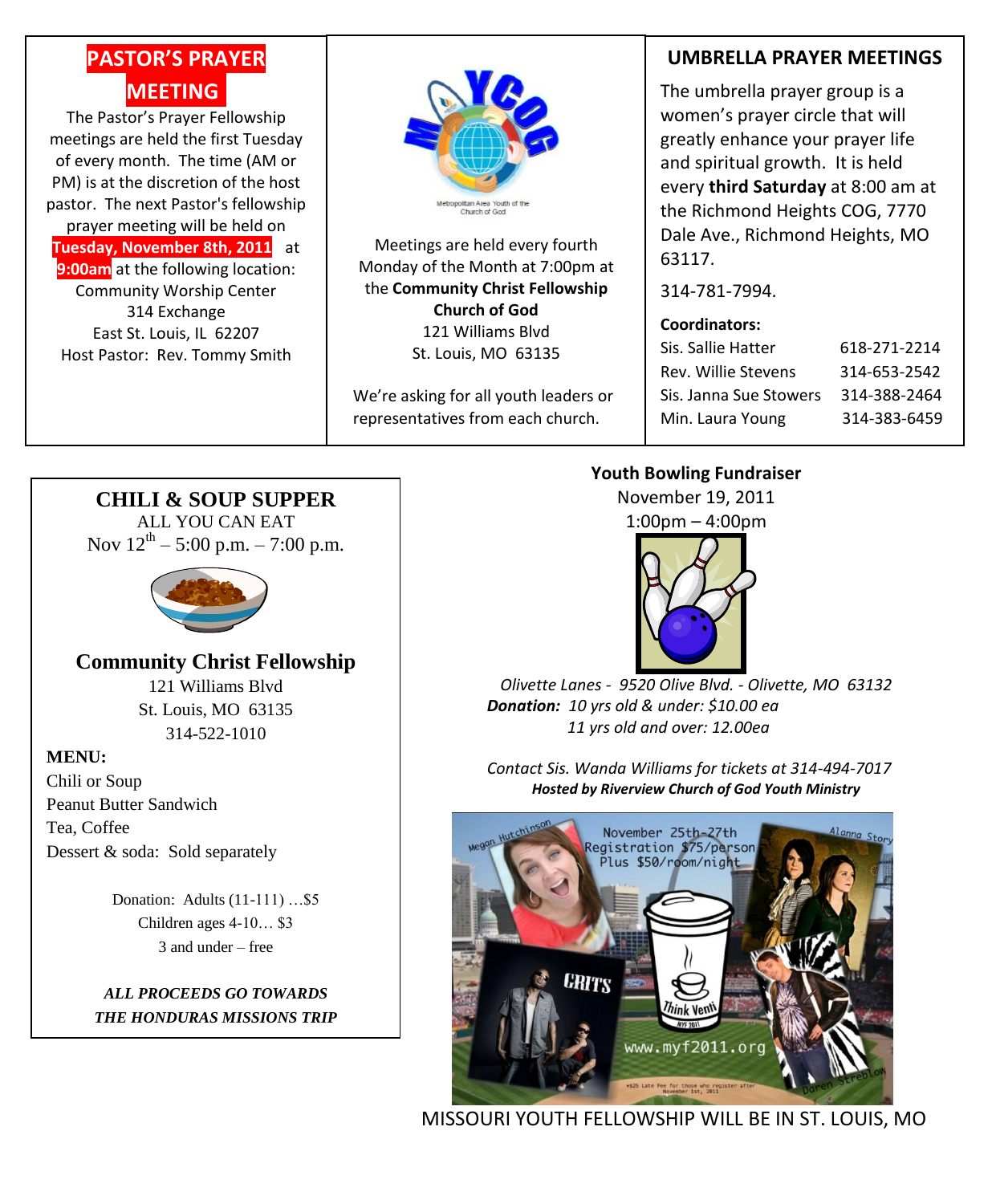# **PASTOR'S PRAYER MEETING.**

The Pastor's Prayer Fellowship meetings are held the first Tuesday of every month. The time (AM or PM) is at the discretion of the host pastor. The next Pastor's fellowship prayer meeting will be held on **Tuesday, November 8th, 2011** at **9:00am** at the following location: Community Worship Center 314 Exchange East St. Louis, IL 62207 Host Pastor: Rev. Tommy Smith



Meetings are held every fourth Monday of the Month at 7:00pm at the **Community Christ Fellowship Church of God** 121 Williams Blvd St. Louis, MO 63135

We're asking for all youth leaders or representatives from each church.

### **UMBRELLA PRAYER MEETINGS**

The umbrella prayer group is a women's prayer circle that will greatly enhance your prayer life and spiritual growth. It is held every **third Saturday** at 8:00 am at the Richmond Heights COG, 7770 Dale Ave., Richmond Heights, MO 63117.

314-781-7994.

#### **Coordinators:**

| Sis. Sallie Hatter     | 618-271-2214 |
|------------------------|--------------|
| Rev. Willie Stevens    | 314-653-2542 |
| Sis. Janna Sue Stowers | 314-388-2464 |
| Min. Laura Young       | 314-383-6459 |

#### **Youth Bowling Fundraiser**

November 19, 2011

1:00pm – 4:00pm



*Olivette Lanes - 9520 Olive Blvd. - Olivette, MO 63132 Donation: 10 yrs old & under: \$10.00 ea 11 yrs old and over: 12.00ea*

*Contact Sis. Wanda Williams for tickets at 314-494-7017 Hosted by Riverview Church of God Youth Ministry*



MISSOURI YOUTH FELLOWSHIP WILL BE IN ST. LOUIS, MO

## **CHILI & SOUP SUPPER**

ALL YOU CAN EAT Nov  $12^{th} - 5:00$  p.m.  $- 7:00$  p.m.



**Community Christ Fellowship** 121 Williams Blvd St. Louis, MO 63135 314-522-1010

#### **MENU:**

Chili or Soup Peanut Butter Sandwich Tea, Coffee Dessert & soda: Sold separately

> Donation: Adults (11-111) …\$5 Children ages 4-10… \$3 3 and under – free

#### *ALL PROCEEDS GO TOWARDS THE HONDURAS MISSIONS TRIP*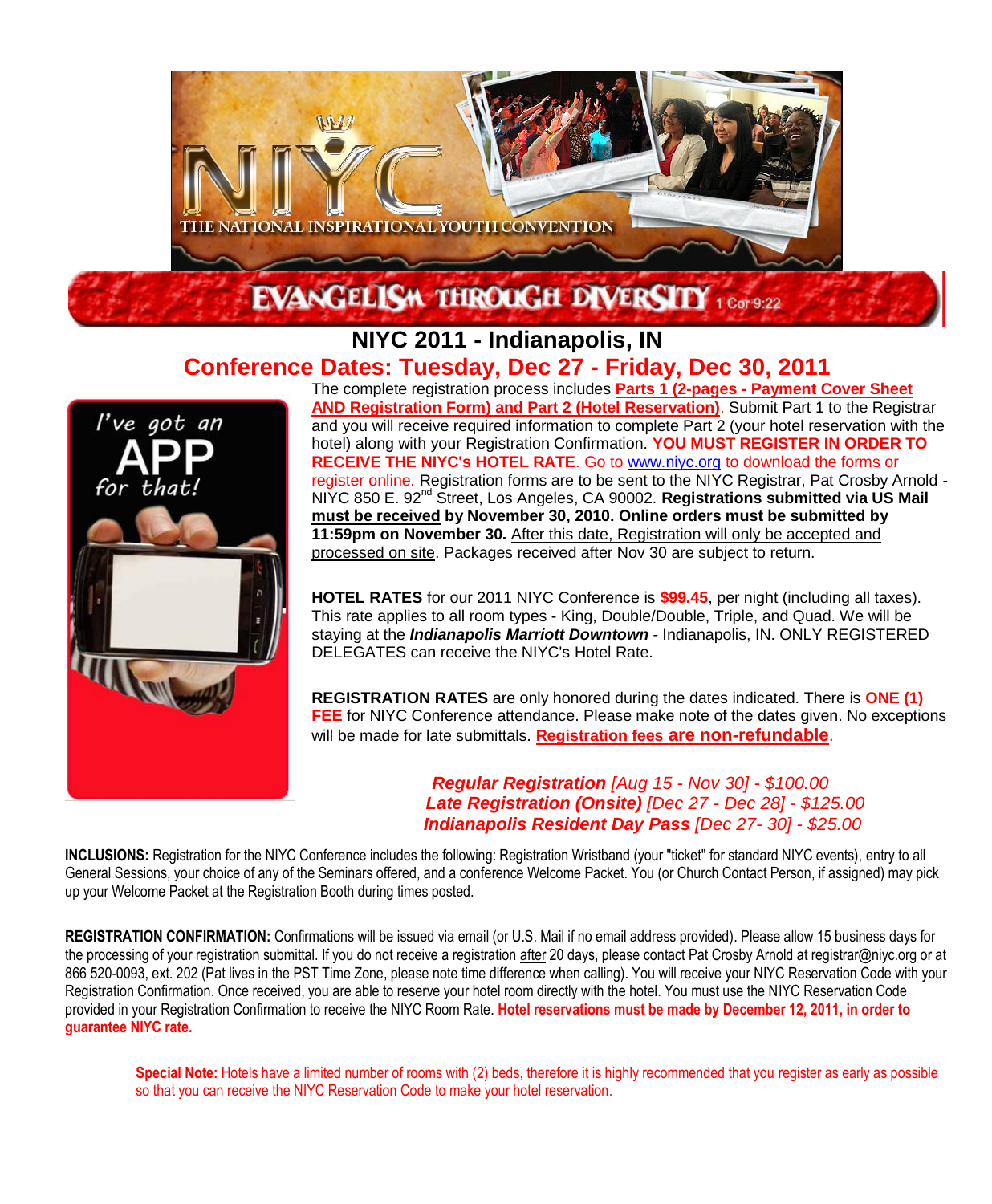

### **NIYC 2011 - Indianapolis, IN Conference Dates: Tuesday, Dec 27 - Friday, Dec 30, 2011**



The complete registration process includes **Parts 1 (2-pages - Payment Cover Sheet AND Registration Form) and Part 2 (Hotel Reservation)**. Submit Part 1 to the Registrar and you will receive required information to complete Part 2 (your hotel reservation with the hotel) along with your Registration Confirmation. **YOU MUST REGISTER IN ORDER TO RECEIVE THE NIYC's HOTEL RATE**. Go to [www.niyc.org](http://www.niyc.org/) to download the forms or register online. Registration forms are to be sent to the NIYC Registrar, Pat Crosby Arnold - NIYC 850 E. 92<sup>nd</sup> Street, Los Angeles, CA 90002. **Registrations submitted via US Mail must be received by November 30, 2010. Online orders must be submitted by 11:59pm on November 30.** After this date, Registration will only be accepted and processed on site. Packages received after Nov 30 are subject to return.

**HOTEL RATES** for our 2011 NIYC Conference is **\$99.45**, per night (including all taxes). This rate applies to all room types - King, Double/Double, Triple, and Quad. We will be staying at the *Indianapolis Marriott Downtown* - Indianapolis, IN. ONLY REGISTERED DELEGATES can receive the NIYC's Hotel Rate.

**REGISTRATION RATES** are only honored during the dates indicated. There is **ONE (1) FEE** for NIYC Conference attendance. Please make note of the dates given. No exceptions will be made for late submittals. **Registration fees are non-refundable**.

> *Regular Registration [Aug 15 - Nov 30] - \$100.00 Late Registration (Onsite) [Dec 27 - Dec 28] - \$125.00 Indianapolis Resident Day Pass [Dec 27- 30] - \$25.00*

**INCLUSIONS:** Registration for the NIYC Conference includes the following: Registration Wristband (your "ticket" for standard NIYC events), entry to all General Sessions, your choice of any of the Seminars offered, and a conference Welcome Packet. You (or Church Contact Person, if assigned) may pick up your Welcome Packet at the Registration Booth during times posted.

**REGISTRATION CONFIRMATION:** Confirmations will be issued via email (or U.S. Mail if no email address provided). Please allow 15 business days for the processing of your registration submittal. If you do not receive a registration after 20 days, please contact Pat Crosby Arnold at registrar@niyc.org or at 866 520-0093, ext. 202 (Pat lives in the PST Time Zone, please note time difference when calling). You will receive your NIYC Reservation Code with your Registration Confirmation. Once received, you are able to reserve your hotel room directly with the hotel. You must use the NIYC Reservation Code provided in your Registration Confirmation to receive the NIYC Room Rate. **Hotel reservations must be made by December 12, 2011, in order to guarantee NIYC rate.** 

**Special Note:** Hotels have a limited number of rooms with (2) beds, therefore it is highly recommended that you register as early as possible so that you can receive the NIYC Reservation Code to make your hotel reservation.